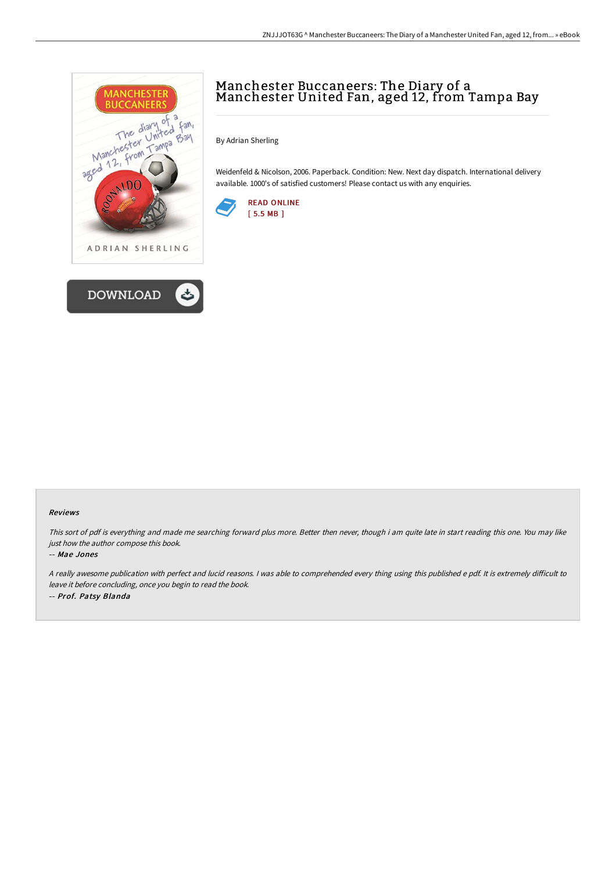



# Manchester Buccaneers: The Diary of a Manchester United Fan, aged 12, from Tampa Bay

By Adrian Sherling

Weidenfeld & Nicolson, 2006. Paperback. Condition: New. Next day dispatch. International delivery available. 1000's of satisfied customers! Please contact us with any enquiries.



#### Reviews

This sort of pdf is everything and made me searching forward plus more. Better then never, though i am quite late in start reading this one. You may like just how the author compose this book.

#### -- Mae Jones

A really awesome publication with perfect and lucid reasons. I was able to comprehended every thing using this published e pdf. It is extremely difficult to leave it before concluding, once you begin to read the book. -- Prof. Patsy Blanda